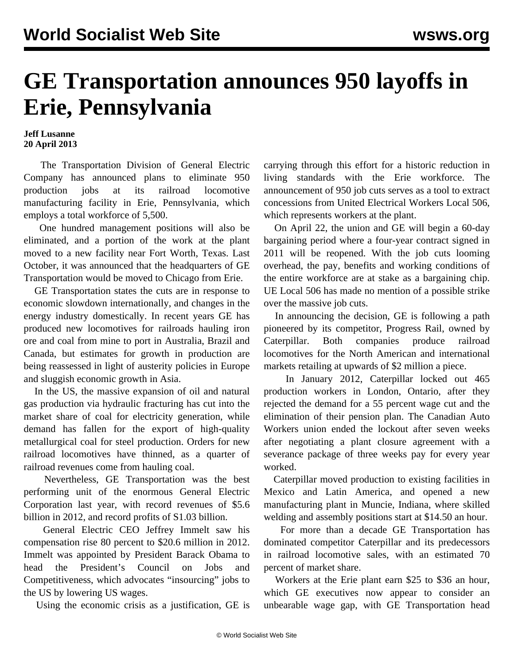## **GE Transportation announces 950 layoffs in Erie, Pennsylvania**

## **Jeff Lusanne 20 April 2013**

 The Transportation Division of General Electric Company has announced plans to eliminate 950 production jobs at its railroad locomotive manufacturing facility in Erie, Pennsylvania, which employs a total workforce of 5,500.

 One hundred management positions will also be eliminated, and a portion of the work at the plant moved to a new facility near Fort Worth, Texas. Last October, it was announced that the headquarters of GE Transportation would be moved to Chicago from Erie.

 GE Transportation states the cuts are in response to economic slowdown internationally, and changes in the energy industry domestically. In recent years GE has produced new locomotives for railroads hauling iron ore and coal from mine to port in Australia, Brazil and Canada, but estimates for growth in production are being reassessed in light of austerity policies in Europe and sluggish economic growth in Asia.

 In the US, the massive expansion of oil and natural gas production via hydraulic fracturing has cut into the market share of coal for electricity generation, while demand has fallen for the export of high-quality metallurgical coal for steel production. Orders for new railroad locomotives have thinned, as a quarter of railroad revenues come from hauling coal.

 Nevertheless, GE Transportation was the best performing unit of the enormous General Electric Corporation last year, with record revenues of \$5.6 billion in 2012, and record profits of S1.03 billion.

 General Electric CEO Jeffrey Immelt saw his compensation rise 80 percent to \$20.6 million in 2012. Immelt was appointed by President Barack Obama to head the President's Council on Jobs and Competitiveness, which advocates "insourcing" jobs to the US by lowering US wages.

Using the economic crisis as a justification, GE is

carrying through this effort for a historic reduction in living standards with the Erie workforce. The announcement of 950 job cuts serves as a tool to extract concessions from United Electrical Workers Local 506, which represents workers at the plant.

 On April 22, the union and GE will begin a 60-day bargaining period where a four-year contract signed in 2011 will be reopened. With the job cuts looming overhead, the pay, benefits and working conditions of the entire workforce are at stake as a bargaining chip. UE Local 506 has made no mention of a possible strike over the massive job cuts.

 In announcing the decision, GE is following a path pioneered by its competitor, Progress Rail, owned by Caterpillar. Both companies produce railroad locomotives for the North American and international markets retailing at upwards of \$2 million a piece.

 In January 2012, Caterpillar locked out 465 production workers in London, Ontario, after they rejected the demand for a 55 percent wage cut and the elimination of their pension plan. The Canadian Auto Workers union ended the lockout after seven weeks after negotiating a plant closure agreement with a severance package of three weeks pay for every year worked.

 Caterpillar moved production to existing facilities in Mexico and Latin America, and opened a new manufacturing plant in Muncie, Indiana, where skilled welding and assembly positions start at \$14.50 an hour.

 For more than a decade GE Transportation has dominated competitor Caterpillar and its predecessors in railroad locomotive sales, with an estimated 70 percent of market share.

 Workers at the Erie plant earn \$25 to \$36 an hour, which GE executives now appear to consider an unbearable wage gap, with GE Transportation head